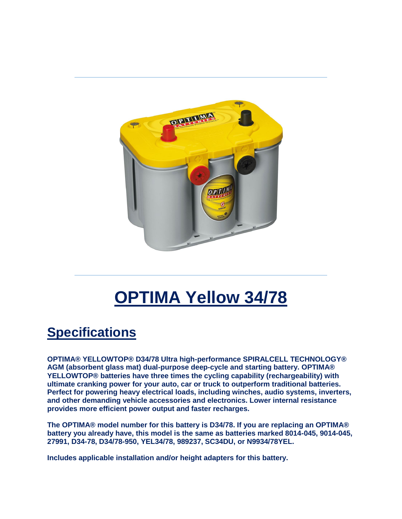

# **OPTIMA Yellow 34/78**

# **Specifications**

**OPTIMA® YELLOWTOP® D34/78 Ultra high-performance SPIRALCELL TECHNOLOGY® AGM (absorbent glass mat) dual-purpose deep-cycle and starting battery. OPTIMA® YELLOWTOP® batteries have three times the cycling capability (rechargeability) with ultimate cranking power for your auto, car or truck to outperform traditional batteries. Perfect for powering heavy electrical loads, including winches, audio systems, inverters, and other demanding vehicle accessories and electronics. Lower internal resistance provides more efficient power output and faster recharges.**

**The OPTIMA® model number for this battery is D34/78. If you are replacing an OPTIMA® battery you already have, this model is the same as batteries marked 8014-045, 9014-045, 27991, D34-78, D34/78-950, YEL34/78, 989237, SC34DU, or N9934/78YEL.**

**Includes applicable installation and/or height adapters for this battery.**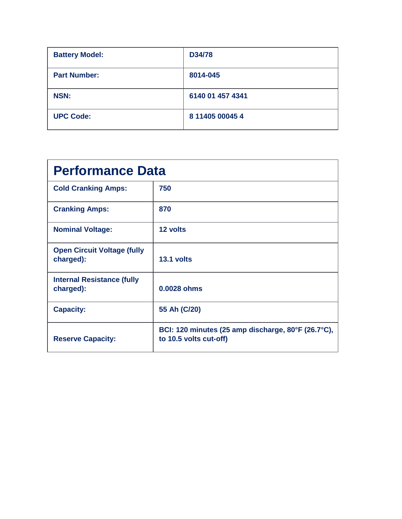| <b>Battery Model:</b> | D34/78           |
|-----------------------|------------------|
| <b>Part Number:</b>   | 8014-045         |
| <b>NSN:</b>           | 6140 01 457 4341 |
| <b>UPC Code:</b>      | 8 11405 00045 4  |

| <b>Performance Data</b>                         |                                                                              |  |
|-------------------------------------------------|------------------------------------------------------------------------------|--|
| <b>Cold Cranking Amps:</b>                      | 750                                                                          |  |
| <b>Cranking Amps:</b>                           | 870                                                                          |  |
| <b>Nominal Voltage:</b>                         | 12 volts                                                                     |  |
| <b>Open Circuit Voltage (fully</b><br>charged): | 13.1 volts                                                                   |  |
| <b>Internal Resistance (fully</b><br>charged):  | 0.0028 ohms                                                                  |  |
| <b>Capacity:</b>                                | 55 Ah (C/20)                                                                 |  |
| <b>Reserve Capacity:</b>                        | BCI: 120 minutes (25 amp discharge, 80°F (26.7°C),<br>to 10.5 volts cut-off) |  |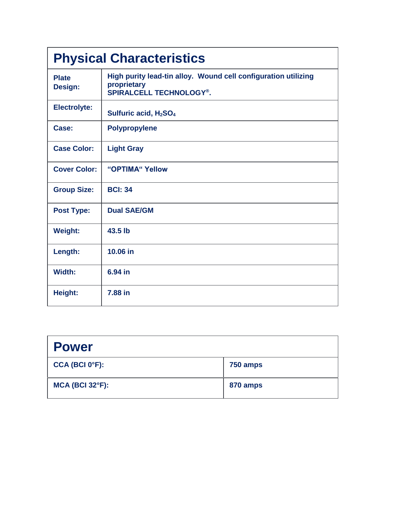| <b>Physical Characteristics</b> |                                                                                                                 |  |
|---------------------------------|-----------------------------------------------------------------------------------------------------------------|--|
| <b>Plate</b><br>Design:         | High purity lead-tin alloy. Wound cell configuration utilizing<br>proprietary<br><b>SPIRALCELL TECHNOLOGY®.</b> |  |
| <b>Electrolyte:</b>             | Sulfuric acid, H <sub>2</sub> SO <sub>4</sub>                                                                   |  |
| Case:                           | <b>Polypropylene</b>                                                                                            |  |
| <b>Case Color:</b>              | <b>Light Gray</b>                                                                                               |  |
| <b>Cover Color:</b>             | "OPTIMA" Yellow                                                                                                 |  |
| <b>Group Size:</b>              | <b>BCI: 34</b>                                                                                                  |  |
| <b>Post Type:</b>               | <b>Dual SAE/GM</b>                                                                                              |  |
| <b>Weight:</b>                  | 43.5 lb                                                                                                         |  |
| Length:                         | 10.06 in                                                                                                        |  |
| Width:                          | 6.94 in                                                                                                         |  |
| Height:                         | 7.88 in                                                                                                         |  |

| <b>Power</b>                |          |
|-----------------------------|----------|
| CCA (BCI 0 <sup>o</sup> F): | 750 amps |
| $MCA$ (BCI 32 $\degree$ F): | 870 amps |